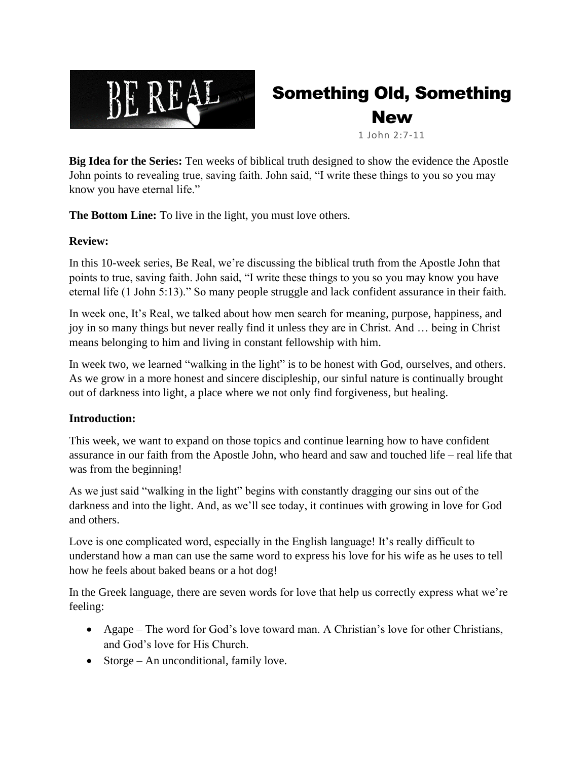

# Something Old, Something New

1 John 2:7-11

**Big Idea for the Serie**s**:** Ten weeks of biblical truth designed to show the evidence the Apostle John points to revealing true, saving faith. John said, "I write these things to you so you may know you have eternal life."

**The Bottom Line:** To live in the light, you must love others.

### **Review:**

In this 10-week series, Be Real, we're discussing the biblical truth from the Apostle John that points to true, saving faith. John said, "I write these things to you so you may know you have eternal life (1 John 5:13)." So many people struggle and lack confident assurance in their faith.

In week one, It's Real, we talked about how men search for meaning, purpose, happiness, and joy in so many things but never really find it unless they are in Christ. And … being in Christ means belonging to him and living in constant fellowship with him.

In week two, we learned "walking in the light" is to be honest with God, ourselves, and others. As we grow in a more honest and sincere discipleship, our sinful nature is continually brought out of darkness into light, a place where we not only find forgiveness, but healing.

#### **Introduction:**

This week, we want to expand on those topics and continue learning how to have confident assurance in our faith from the Apostle John, who heard and saw and touched life – real life that was from the beginning!

As we just said "walking in the light" begins with constantly dragging our sins out of the darkness and into the light. And, as we'll see today, it continues with growing in love for God and others.

Love is one complicated word, especially in the English language! It's really difficult to understand how a man can use the same word to express his love for his wife as he uses to tell how he feels about baked beans or a hot dog!

In the Greek language, there are seven words for love that help us correctly express what we're feeling:

- Agape The word for God's love toward man. A Christian's love for other Christians, and God's love for His Church.
- Storge An unconditional, family love.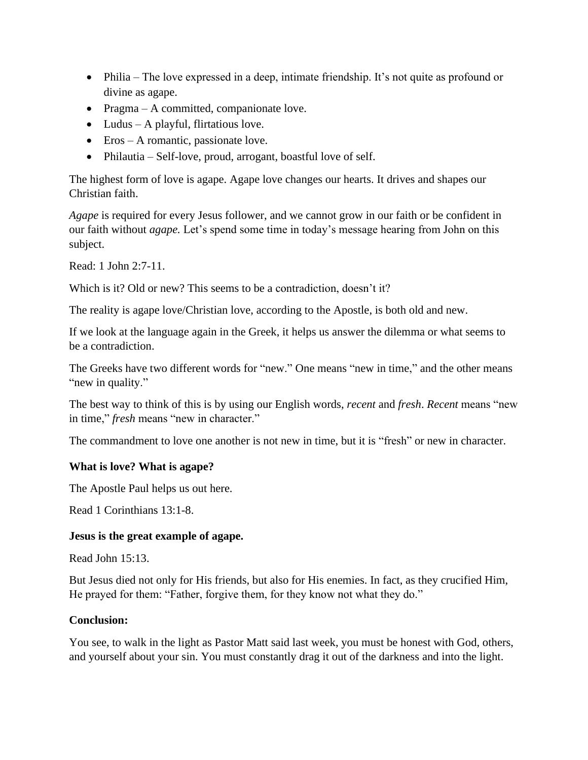- Philia The love expressed in a deep, intimate friendship. It's not quite as profound or divine as agape.
- Pragma A committed, companionate love.
- Ludus A playful, flirtatious love.
- Eros A romantic, passionate love.
- Philautia Self-love, proud, arrogant, boastful love of self.

The highest form of love is agape. Agape love changes our hearts. It drives and shapes our Christian faith.

*Agape* is required for every Jesus follower, and we cannot grow in our faith or be confident in our faith without *agape.* Let's spend some time in today's message hearing from John on this subject.

Read: 1 John 2:7-11.

Which is it? Old or new? This seems to be a contradiction, doesn't it?

The reality is agape love/Christian love, according to the Apostle, is both old and new.

If we look at the language again in the Greek, it helps us answer the dilemma or what seems to be a contradiction.

The Greeks have two different words for "new." One means "new in time," and the other means "new in quality."

The best way to think of this is by using our English words, *recent* and *fresh*. *Recent* means "new in time," *fresh* means "new in character."

The commandment to love one another is not new in time, but it is "fresh" or new in character.

#### **What is love? What is agape?**

The Apostle Paul helps us out here.

Read 1 Corinthians 13:1-8.

#### **Jesus is the great example of agape.**

Read John 15:13.

But Jesus died not only for His friends, but also for His enemies. In fact, as they crucified Him, He prayed for them: "Father, forgive them, for they know not what they do."

#### **Conclusion:**

You see, to walk in the light as Pastor Matt said last week, you must be honest with God, others, and yourself about your sin. You must constantly drag it out of the darkness and into the light.